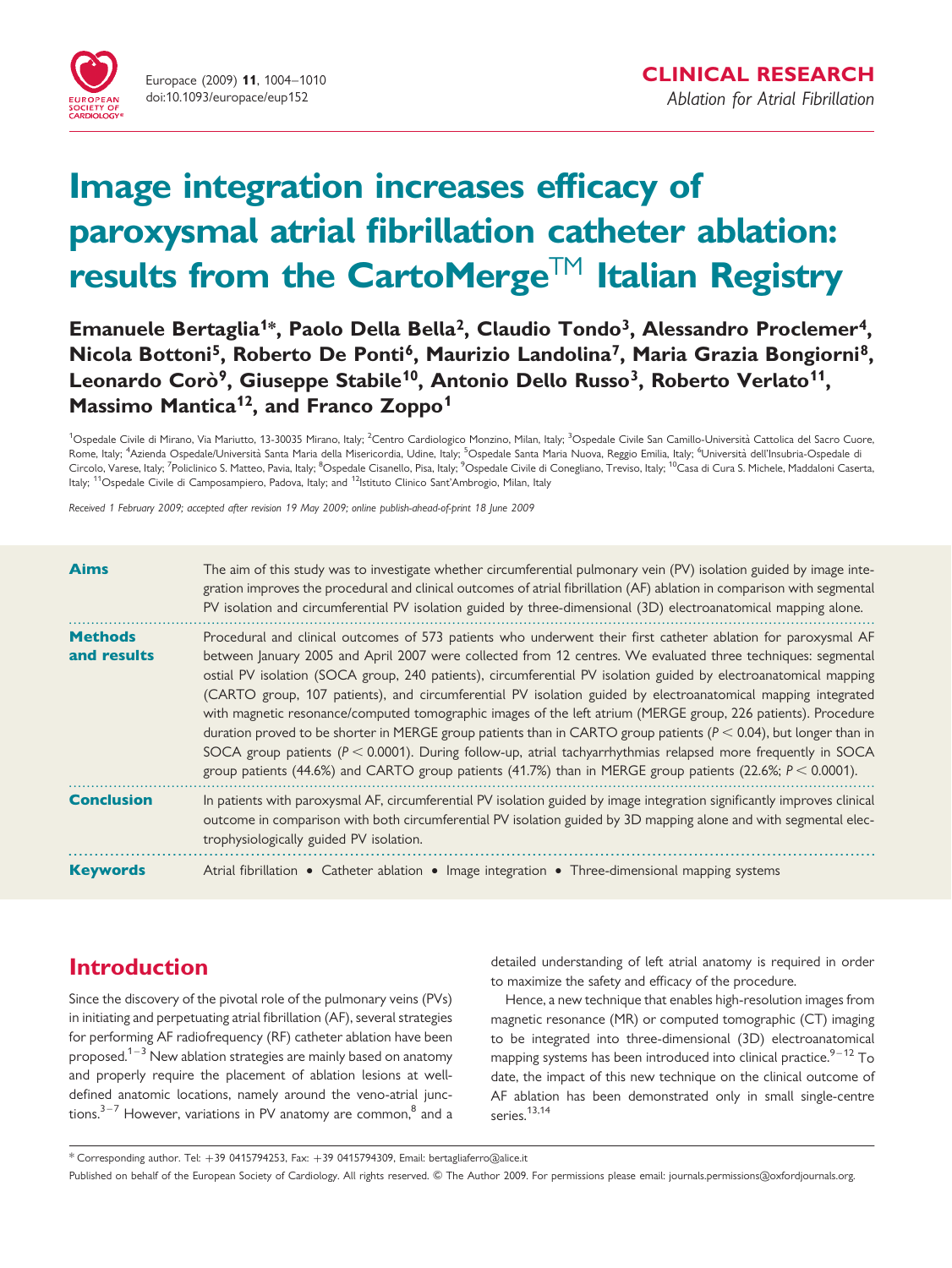

# Image integration increases efficacy of paroxysmal atrial fibrillation catheter ablation: results from the CartoMerge<sup>TM</sup> Italian Registry

Emanuele Bertaglia<sup>1\*</sup>, Paolo Della Bella<sup>2</sup>, Claudio Tondo<sup>3</sup>, Alessandro Proclemer<sup>4</sup>, Nicola Bottoni<sup>5</sup>, Roberto De Ponti<sup>6</sup>, Maurizio Landolina<sup>7</sup>, Maria Grazia Bongiorni<sup>8</sup>, Leonardo Corò<sup>9</sup>, Giuseppe Stabile<sup>10</sup>, Antonio Dello Russo<sup>3</sup>, Roberto Verlato<sup>11</sup>, Massimo Mantica<sup>12</sup>, and Franco Zoppo<sup>1</sup>

<sup>1</sup>Ospedale Civile di Mirano, Via Mariutto, 13-30035 Mirano, Italy; <sup>2</sup>Centro Cardiologico Monzino, Milan, Italy; <sup>3</sup>Ospedale Civile San Camillo-Università Cattolica del Sacro Cuore, Rome, Italy; <sup>4</sup>Azienda Ospedale/Università Santa Maria della Misericordia, Udine, Italy; <sup>5</sup>Ospedale Santa Maria Nuova, Reggio Emilia, Italy; <sup>6</sup>Università dell'Insubria-Ospedale di Circolo, Varese, Italy; <sup>7</sup>Policlinico S. Matteo, Pavia, Italy; <sup>8</sup>Ospedale Cisanello, Pisa, Italy; <sup>9</sup>Ospedale Civile di Conegliano, Treviso, Italy; <sup>10</sup>Casa di Cura S. Michele, Maddaloni Caserta, Italy; <sup>11</sup>Ospedale Civile di Camposampiero, Padova, Italy; and <sup>12</sup>Istituto Clinico Sant'Ambrogio, Milan, Italy

Received 1 February 2009; accepted after revision 19 May 2009; online publish-ahead-of-print 18 June 2009

| <b>Aims</b>                   | The aim of this study was to investigate whether circumferential pulmonary vein (PV) isolation guided by image inte-<br>gration improves the procedural and clinical outcomes of atrial fibrillation (AF) ablation in comparison with segmental<br>PV isolation and circumferential PV isolation guided by three-dimensional (3D) electroanatomical mapping alone.                                                                                                                                                                                                                                                                                                                                                                                                                                                                                                                                                                               |
|-------------------------------|--------------------------------------------------------------------------------------------------------------------------------------------------------------------------------------------------------------------------------------------------------------------------------------------------------------------------------------------------------------------------------------------------------------------------------------------------------------------------------------------------------------------------------------------------------------------------------------------------------------------------------------------------------------------------------------------------------------------------------------------------------------------------------------------------------------------------------------------------------------------------------------------------------------------------------------------------|
| <b>Methods</b><br>and results | Procedural and clinical outcomes of 573 patients who underwent their first catheter ablation for paroxysmal AF<br>between January 2005 and April 2007 were collected from 12 centres. We evaluated three techniques: segmental<br>ostial PV isolation (SOCA group, 240 patients), circumferential PV isolation guided by electroanatomical mapping<br>(CARTO group, 107 patients), and circumferential PV isolation guided by electroanatomical mapping integrated<br>with magnetic resonance/computed tomographic images of the left atrium (MERGE group, 226 patients). Procedure<br>duration proved to be shorter in MERGE group patients than in CARTO group patients ( $P < 0.04$ ), but longer than in<br>SOCA group patients ( $P < 0.0001$ ). During follow-up, atrial tachyarrhythmias relapsed more frequently in SOCA<br>group patients (44.6%) and CARTO group patients (41.7%) than in MERGE group patients (22.6%; $P < 0.0001$ ). |
| <b>Conclusion</b>             | In patients with paroxysmal AF, circumferential PV isolation guided by image integration significantly improves clinical<br>outcome in comparison with both circumferential PV isolation guided by 3D mapping alone and with segmental elec-<br>trophysiologically guided PV isolation.                                                                                                                                                                                                                                                                                                                                                                                                                                                                                                                                                                                                                                                          |
| <b>Keywords</b>               | Atrial fibrillation • Catheter ablation • Image integration • Three-dimensional mapping systems                                                                                                                                                                                                                                                                                                                                                                                                                                                                                                                                                                                                                                                                                                                                                                                                                                                  |

# Introduction

Since the discovery of the pivotal role of the pulmonary veins (PVs) in initiating and perpetuating atrial fibrillation (AF), several strategies for performing AF radiofrequency (RF) catheter ablation have been proposed.<sup>1–3</sup> New ablation strategies are mainly based on anatomy and properly require the placement of ablation lesions at welldefined anatomic locations, namely around the veno-atrial junctions. $3-7$  However, variations in PV anatomy are common, $8$  and a detailed understanding of left atrial anatomy is required in order to maximize the safety and efficacy of the procedure.

Hence, a new technique that enables high-resolution images from magnetic resonance (MR) or computed tomographic (CT) imaging to be integrated into three-dimensional (3D) electroanatomical mapping systems has been introduced into clinical practice. $9-12$  To date, the impact of this new technique on the clinical outcome of AF ablation has been demonstrated only in small single-centre series.<sup>13,14</sup>

 $*$  Corresponding author. Tel:  $+39$  0415794253, Fax:  $+39$  0415794309, Email: bertagliaferro@alice.it

Published on behalf of the European Society of Cardiology. All rights reserved. © The Author 2009. For permissions please email: journals.permissions@oxfordjournals.org.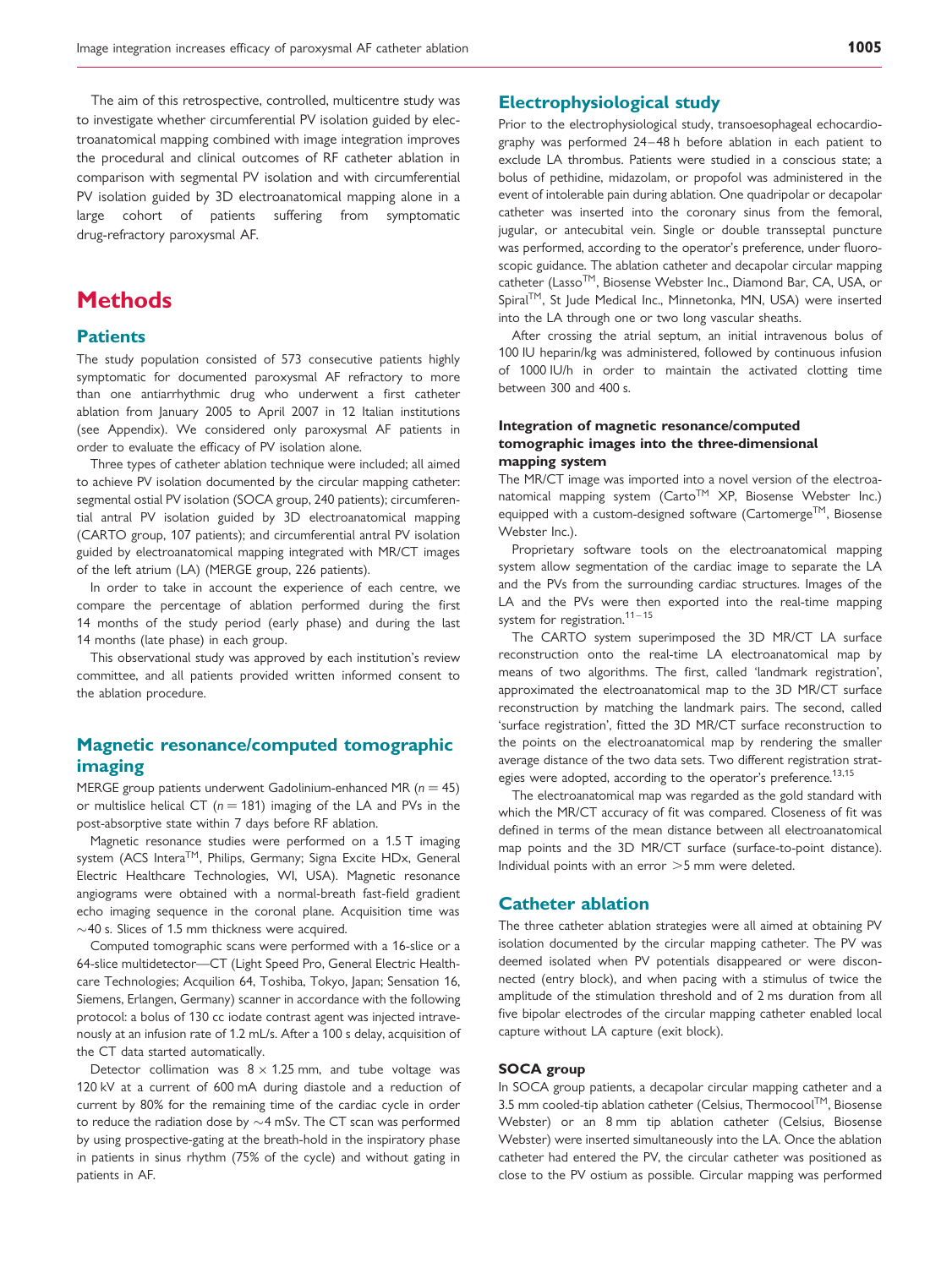The aim of this retrospective, controlled, multicentre study was to investigate whether circumferential PV isolation guided by electroanatomical mapping combined with image integration improves the procedural and clinical outcomes of RF catheter ablation in comparison with segmental PV isolation and with circumferential PV isolation guided by 3D electroanatomical mapping alone in a large cohort of patients suffering from symptomatic drug-refractory paroxysmal AF.

# **Methods**

#### **Patients**

The study population consisted of 573 consecutive patients highly symptomatic for documented paroxysmal AF refractory to more than one antiarrhythmic drug who underwent a first catheter ablation from January 2005 to April 2007 in 12 Italian institutions (see Appendix). We considered only paroxysmal AF patients in order to evaluate the efficacy of PV isolation alone.

Three types of catheter ablation technique were included; all aimed to achieve PV isolation documented by the circular mapping catheter: segmental ostial PV isolation (SOCA group, 240 patients); circumferential antral PV isolation guided by 3D electroanatomical mapping (CARTO group, 107 patients); and circumferential antral PV isolation guided by electroanatomical mapping integrated with MR/CT images of the left atrium (LA) (MERGE group, 226 patients).

In order to take in account the experience of each centre, we compare the percentage of ablation performed during the first 14 months of the study period (early phase) and during the last 14 months (late phase) in each group.

This observational study was approved by each institution's review committee, and all patients provided written informed consent to the ablation procedure.

# Magnetic resonance/computed tomographic imaging

MERGE group patients underwent Gadolinium-enhanced MR ( $n = 45$ ) or multislice helical CT ( $n = 181$ ) imaging of the LA and PVs in the post-absorptive state within 7 days before RF ablation.

Magnetic resonance studies were performed on a 1.5 T imaging system (ACS Intera™, Philips, Germany; Signa Excite HDx, General Electric Healthcare Technologies, WI, USA). Magnetic resonance angiograms were obtained with a normal-breath fast-field gradient echo imaging sequence in the coronal plane. Acquisition time was  $\sim$  40 s. Slices of 1.5 mm thickness were acquired.

Computed tomographic scans were performed with a 16-slice or a 64-slice multidetector—CT (Light Speed Pro, General Electric Healthcare Technologies; Acquilion 64, Toshiba, Tokyo, Japan; Sensation 16, Siemens, Erlangen, Germany) scanner in accordance with the following protocol: a bolus of 130 cc iodate contrast agent was injected intravenously at an infusion rate of 1.2 mL/s. After a 100 s delay, acquisition of the CT data started automatically.

Detector collimation was  $8 \times 1.25$  mm, and tube voltage was 120 kV at a current of 600 mA during diastole and a reduction of current by 80% for the remaining time of the cardiac cycle in order to reduce the radiation dose by  ${\sim}4$  mSv. The CT scan was performed by using prospective-gating at the breath-hold in the inspiratory phase in patients in sinus rhythm (75% of the cycle) and without gating in patients in AF.

## Electrophysiological study

Prior to the electrophysiological study, transoesophageal echocardiography was performed 24–48 h before ablation in each patient to exclude LA thrombus. Patients were studied in a conscious state; a bolus of pethidine, midazolam, or propofol was administered in the event of intolerable pain during ablation. One quadripolar or decapolar catheter was inserted into the coronary sinus from the femoral, jugular, or antecubital vein. Single or double transseptal puncture was performed, according to the operator's preference, under fluoroscopic guidance. The ablation catheter and decapolar circular mapping catheter (Lasso<sup>™</sup>, Biosense Webster Inc., Diamond Bar, CA, USA, or Spiral™, St Jude Medical Inc., Minnetonka, MN, USA) were inserted into the LA through one or two long vascular sheaths.

After crossing the atrial septum, an initial intravenous bolus of 100 IU heparin/kg was administered, followed by continuous infusion of 1000 IU/h in order to maintain the activated clotting time between 300 and 400 s.

#### Integration of magnetic resonance/computed tomographic images into the three-dimensional mapping system

The MR/CT image was imported into a novel version of the electroanatomical mapping system (Carto™ XP, Biosense Webster Inc.) equipped with a custom-designed software (Cartomerge™, Biosense Webster Inc.).

Proprietary software tools on the electroanatomical mapping system allow segmentation of the cardiac image to separate the LA and the PVs from the surrounding cardiac structures. Images of the LA and the PVs were then exported into the real-time mapping system for registration.<sup>11-15</sup>

The CARTO system superimposed the 3D MR/CT LA surface reconstruction onto the real-time LA electroanatomical map by means of two algorithms. The first, called 'landmark registration', approximated the electroanatomical map to the 3D MR/CT surface reconstruction by matching the landmark pairs. The second, called 'surface registration', fitted the 3D MR/CT surface reconstruction to the points on the electroanatomical map by rendering the smaller average distance of the two data sets. Two different registration strategies were adopted, according to the operator's preference.<sup>13,15</sup>

The electroanatomical map was regarded as the gold standard with which the MR/CT accuracy of fit was compared. Closeness of fit was defined in terms of the mean distance between all electroanatomical map points and the 3D MR/CT surface (surface-to-point distance). Individual points with an error  $>5$  mm were deleted.

#### Catheter ablation

The three catheter ablation strategies were all aimed at obtaining PV isolation documented by the circular mapping catheter. The PV was deemed isolated when PV potentials disappeared or were disconnected (entry block), and when pacing with a stimulus of twice the amplitude of the stimulation threshold and of 2 ms duration from all five bipolar electrodes of the circular mapping catheter enabled local capture without LA capture (exit block).

#### SOCA group

In SOCA group patients, a decapolar circular mapping catheter and a 3.5 mm cooled-tip ablation catheter (Celsius, Thermocool™, Biosense Webster) or an 8 mm tip ablation catheter (Celsius, Biosense Webster) were inserted simultaneously into the LA. Once the ablation catheter had entered the PV, the circular catheter was positioned as close to the PV ostium as possible. Circular mapping was performed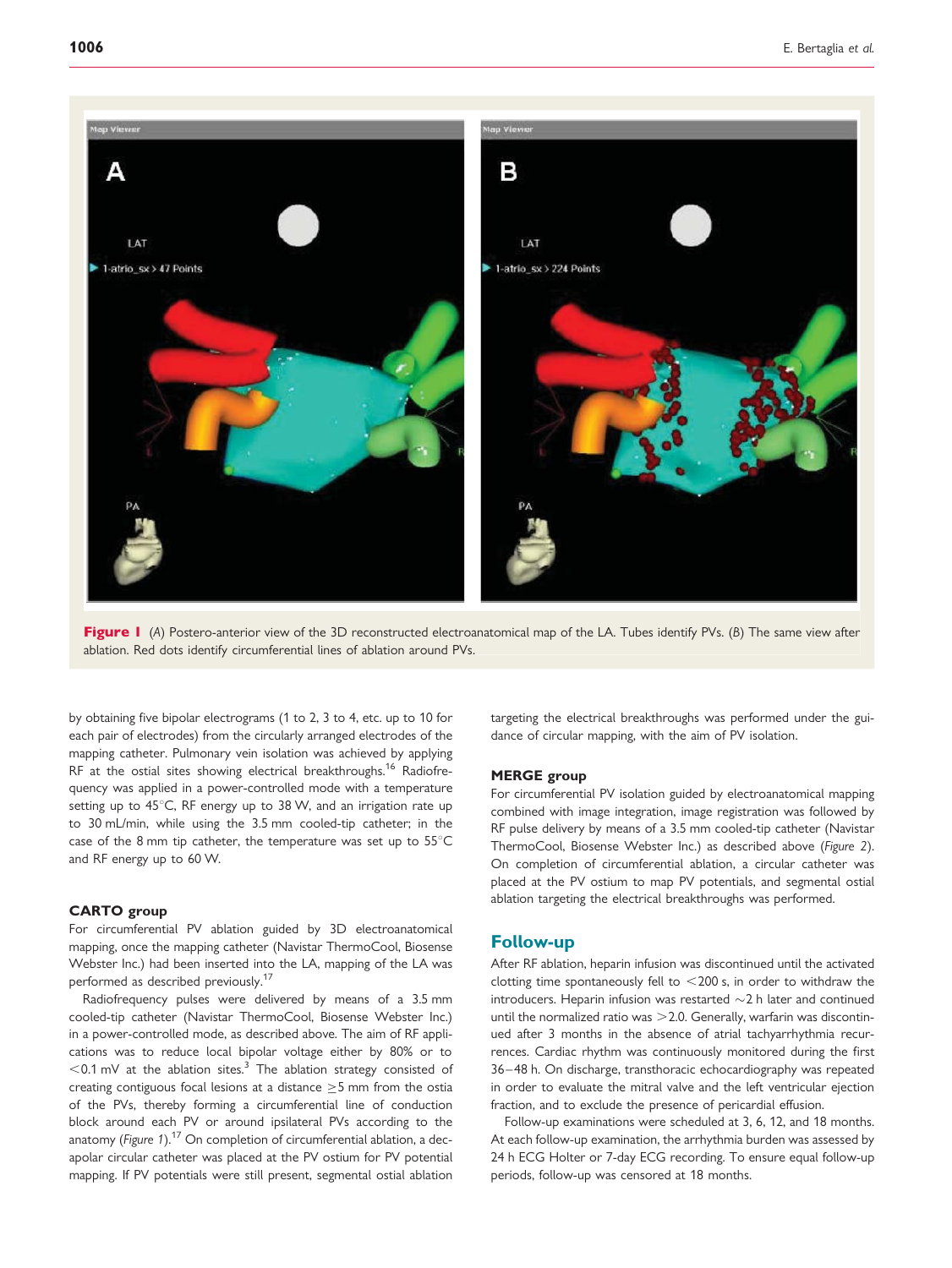



by obtaining five bipolar electrograms (1 to 2, 3 to 4, etc. up to 10 for each pair of electrodes) from the circularly arranged electrodes of the mapping catheter. Pulmonary vein isolation was achieved by applying RF at the ostial sites showing electrical breakthroughs.<sup>16</sup> Radiofrequency was applied in a power-controlled mode with a temperature setting up to  $45^{\circ}$ C, RF energy up to 38 W, and an irrigation rate up to 30 mL/min, while using the 3.5 mm cooled-tip catheter; in the case of the 8 mm tip catheter, the temperature was set up to  $55^{\circ}$ C and RF energy up to 60 W.

#### CARTO group

For circumferential PV ablation guided by 3D electroanatomical mapping, once the mapping catheter (Navistar ThermoCool, Biosense Webster Inc.) had been inserted into the LA, mapping of the LA was performed as described previously.<sup>17</sup>

Radiofrequency pulses were delivered by means of a 3.5 mm cooled-tip catheter (Navistar ThermoCool, Biosense Webster Inc.) in a power-controlled mode, as described above. The aim of RF applications was to reduce local bipolar voltage either by 80% or to  $<$  0.1 mV at the ablation sites.<sup>3</sup> The ablation strategy consisted of creating contiguous focal lesions at a distance  $\geq$  5 mm from the ostia of the PVs, thereby forming a circumferential line of conduction block around each PV or around ipsilateral PVs according to the anatomy (Figure 1). $^{17}$  On completion of circumferential ablation, a decapolar circular catheter was placed at the PV ostium for PV potential mapping. If PV potentials were still present, segmental ostial ablation

targeting the electrical breakthroughs was performed under the guidance of circular mapping, with the aim of PV isolation.

#### MERGE group

For circumferential PV isolation guided by electroanatomical mapping combined with image integration, image registration was followed by RF pulse delivery by means of a 3.5 mm cooled-tip catheter (Navistar ThermoCool, Biosense Webster Inc.) as described above (Figure 2). On completion of circumferential ablation, a circular catheter was placed at the PV ostium to map PV potentials, and segmental ostial ablation targeting the electrical breakthroughs was performed.

## Follow-up

After RF ablation, heparin infusion was discontinued until the activated clotting time spontaneously fell to  $<$  200 s, in order to withdraw the introducers. Heparin infusion was restarted  $\sim$  2 h later and continued until the normalized ratio was  $>$  2.0. Generally, warfarin was discontinued after 3 months in the absence of atrial tachyarrhythmia recurrences. Cardiac rhythm was continuously monitored during the first 36–48 h. On discharge, transthoracic echocardiography was repeated in order to evaluate the mitral valve and the left ventricular ejection fraction, and to exclude the presence of pericardial effusion.

Follow-up examinations were scheduled at 3, 6, 12, and 18 months. At each follow-up examination, the arrhythmia burden was assessed by 24 h ECG Holter or 7-day ECG recording. To ensure equal follow-up periods, follow-up was censored at 18 months.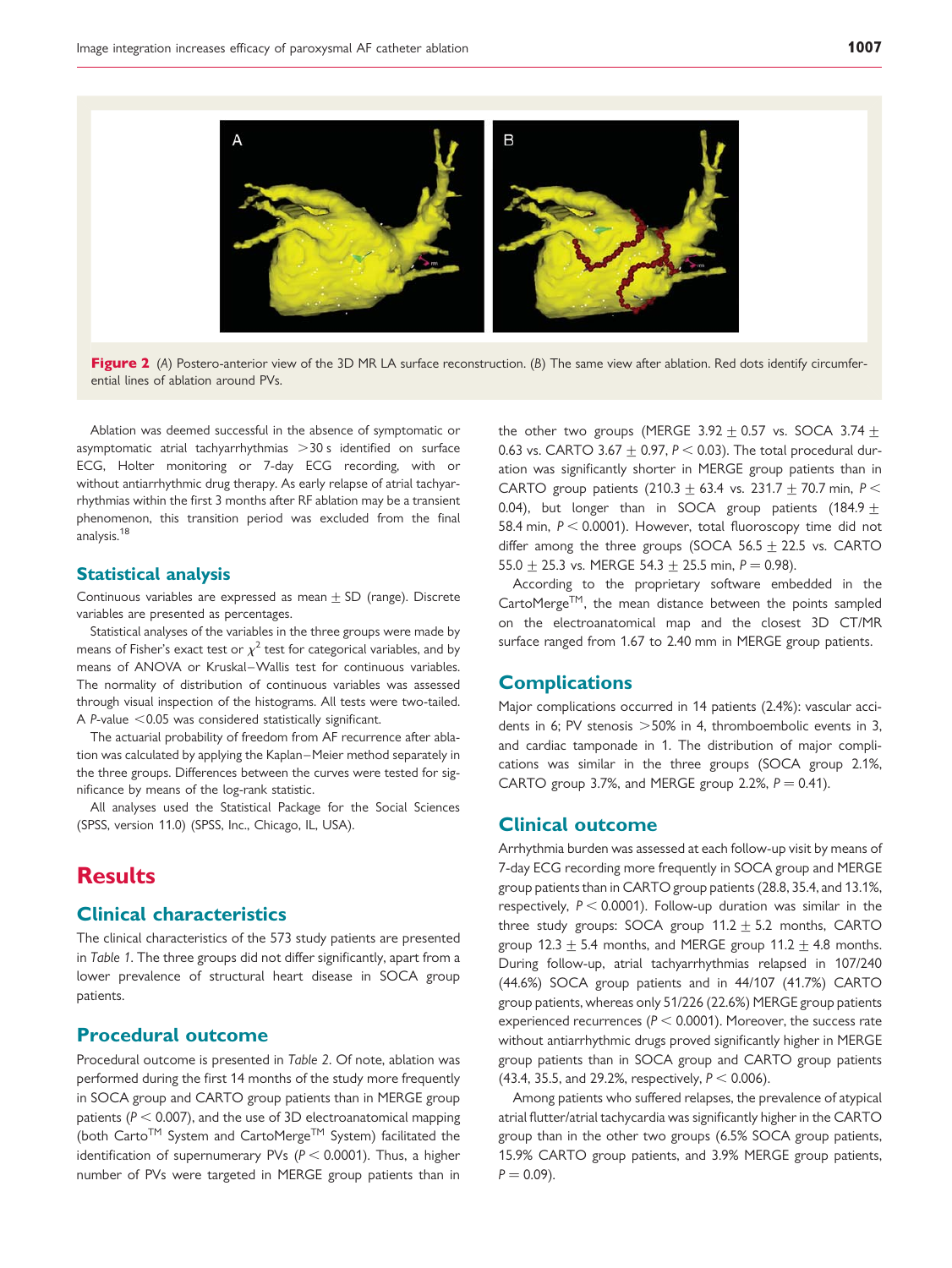

Figure 2 (A) Postero-anterior view of the 3D MR LA surface reconstruction. (B) The same view after ablation. Red dots identify circumferential lines of ablation around PVs.

Ablation was deemed successful in the absence of symptomatic or asymptomatic atrial tachyarrhythmias  $>$ 30 s identified on surface ECG, Holter monitoring or 7-day ECG recording, with or without antiarrhythmic drug therapy. As early relapse of atrial tachyarrhythmias within the first 3 months after RF ablation may be a transient phenomenon, this transition period was excluded from the final analysis.<sup>18</sup>

#### Statistical analysis

Continuous variables are expressed as mean  $+$  SD (range). Discrete variables are presented as percentages.

Statistical analyses of the variables in the three groups were made by means of Fisher's exact test or  $\chi^2$  test for categorical variables, and by means of ANOVA or Kruskal–Wallis test for continuous variables. The normality of distribution of continuous variables was assessed through visual inspection of the histograms. All tests were two-tailed. A P-value  $<$  0.05 was considered statistically significant.

The actuarial probability of freedom from AF recurrence after ablation was calculated by applying the Kaplan–Meier method separately in the three groups. Differences between the curves were tested for significance by means of the log-rank statistic.

All analyses used the Statistical Package for the Social Sciences (SPSS, version 11.0) (SPSS, Inc., Chicago, IL, USA).

# Results

## Clinical characteristics

The clinical characteristics of the 573 study patients are presented in Table 1. The three groups did not differ significantly, apart from a lower prevalence of structural heart disease in SOCA group patients.

## Procedural outcome

Procedural outcome is presented in Table 2. Of note, ablation was performed during the first 14 months of the study more frequently in SOCA group and CARTO group patients than in MERGE group patients ( $P < 0.007$ ), and the use of 3D electroanatomical mapping (both Carto<sup>TM</sup> System and CartoMerge<sup>TM</sup> System) facilitated the identification of supernumerary PVs ( $P < 0.0001$ ). Thus, a higher number of PVs were targeted in MERGE group patients than in

the other two groups (MERGE 3.92  $\pm$  0.57 vs. SOCA 3.74  $\pm$ 0.63 vs. CARTO 3.67  $\pm$  0.97, P < 0.03). The total procedural duration was significantly shorter in MERGE group patients than in CARTO group patients (210.3 + 63.4 vs. 231.7 + 70.7 min,  $P <$ 0.04), but longer than in SOCA group patients (184.9  $\pm$ 58.4 min,  $P < 0.0001$ ). However, total fluoroscopy time did not differ among the three groups (SOCA 56.5  $\pm$  22.5 vs. CARTO 55.0  $\pm$  25.3 vs. MERGE 54.3  $\pm$  25.5 min, P = 0.98).

According to the proprietary software embedded in the  $CartoMerge<sup>TM</sup>$ , the mean distance between the points sampled on the electroanatomical map and the closest 3D CT/MR surface ranged from 1.67 to 2.40 mm in MERGE group patients.

## **Complications**

Major complications occurred in 14 patients (2.4%): vascular accidents in 6; PV stenosis  $>50\%$  in 4, thromboembolic events in 3, and cardiac tamponade in 1. The distribution of major complications was similar in the three groups (SOCA group 2.1%, CARTO group 3.7%, and MERGE group 2.2%,  $P = 0.41$ ).

#### Clinical outcome

Arrhythmia burden was assessed at each follow-up visit by means of 7-day ECG recording more frequently in SOCA group and MERGE group patients than in CARTO group patients (28.8, 35.4, and 13.1%, respectively,  $P < 0.0001$ ). Follow-up duration was similar in the three study groups: SOCA group  $11.2 \pm 5.2$  months, CARTO group 12.3  $\pm$  5.4 months, and MERGE group 11.2  $\pm$  4.8 months. During follow-up, atrial tachyarrhythmias relapsed in 107/240 (44.6%) SOCA group patients and in 44/107 (41.7%) CARTO group patients, whereas only 51/226 (22.6%) MERGE group patients experienced recurrences ( $P < 0.0001$ ). Moreover, the success rate without antiarrhythmic drugs proved significantly higher in MERGE group patients than in SOCA group and CARTO group patients (43.4, 35.5, and 29.2%, respectively,  $P < 0.006$ ).

Among patients who suffered relapses, the prevalence of atypical atrial flutter/atrial tachycardia was significantly higher in the CARTO group than in the other two groups (6.5% SOCA group patients, 15.9% CARTO group patients, and 3.9% MERGE group patients,  $P = 0.09$ ).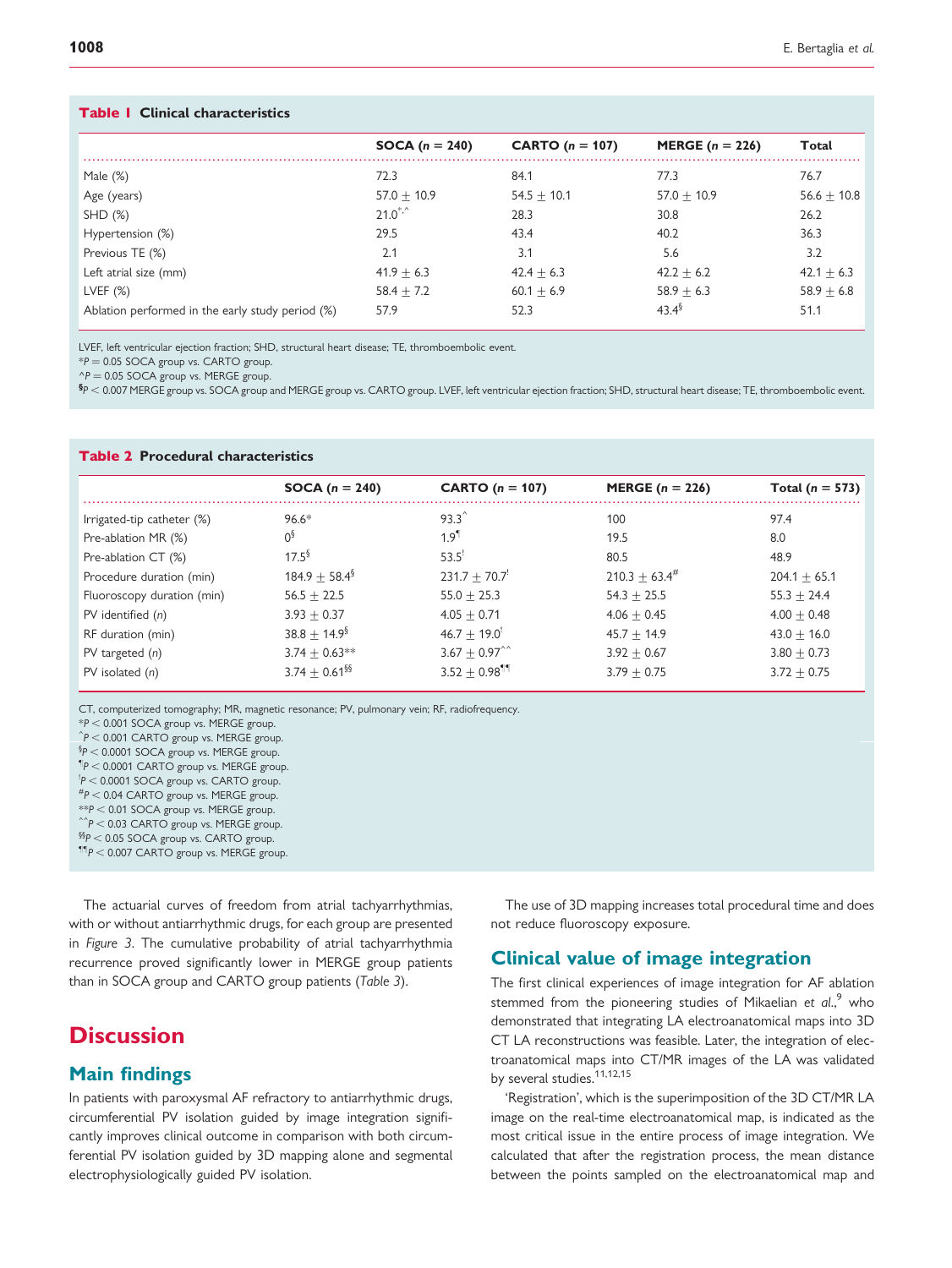#### Table 1 Clinical characteristics

|                                                  | <b>SOCA</b> $(n = 240)$                  | CARTO $(n = 107)$ | MERGE $(n = 226)$ | Total         |
|--------------------------------------------------|------------------------------------------|-------------------|-------------------|---------------|
| Male $(\%)$                                      | 72.3                                     | 84.1              | 77.3              | 76.7          |
| Age (years)                                      | $57.0 + 10.9$                            | $54.5 + 10.1$     | $57.0 + 10.9$     | $56.6 + 10.8$ |
| SHD(%)                                           | $21.0$ <sup>*,<math>\hat{ }</math></sup> | 28.3              | 30.8              | 26.2          |
| Hypertension (%)                                 | 29.5                                     | 43.4              | 40.2              | 36.3          |
| Previous TE (%)                                  | 2.1                                      | 3.1               | 5.6               | 3.2           |
| Left atrial size (mm)                            | $41.9 + 6.3$                             | $42.4 + 6.3$      | $42.2 + 6.2$      | $42.1 + 6.3$  |
| LVEF $(\%)$                                      | $58.4 + 7.2$                             | $60.1 + 6.9$      | $58.9 + 6.3$      | $58.9 + 6.8$  |
| Ablation performed in the early study period (%) | 57.9                                     | 52.3              | $43.4^{\circ}$    | 51.1          |

LVEF, left ventricular ejection fraction; SHD, structural heart disease; TE, thromboembolic event.

 $*P = 0.05$  SOCA group vs. CARTO group.

 $\gamma P = 0.05$  SOCA group vs. MERGE group.

 ${}^{\$P}$   $<$  0.007 MERGE group vs. SOCA group and MERGE group vs. CARTO group. LVEF, left ventricular ejection fraction; SHD, structural heart disease; TE, thromboembolic event.

#### Table 2 Procedural characteristics

|                            | <b>SOCA</b> $(n = 240)$     | CARTO $(n = 107)$             | MERGE $(n = 226)$   | Total ( $n = 573$ ) |
|----------------------------|-----------------------------|-------------------------------|---------------------|---------------------|
| Irrigated-tip catheter (%) | $96.6*$                     | $93.3^{\circ}$                | 100                 | 97.4                |
| Pre-ablation MR (%)        | 0 <sup>3</sup>              | $1.9^{1}$                     | 19.5                | 8.0                 |
| Pre-ablation CT (%)        | $17.5^{\frac{6}{9}}$        | 53.5                          | 80.5                | 48.9                |
| Procedure duration (min)   | $184.9 + 58.4^{\circ}$      | $231.7 + 70.7$                | $210.3 + 63.4^{\#}$ | $204.1 + 65.1$      |
| Fluoroscopy duration (min) | $56.5 + 22.5$               | $55.0 + 25.3$                 | $54.3 + 25.5$       | $55.3 + 24.4$       |
| PV identified $(n)$        | $3.93 + 0.37$               | $4.05 + 0.71$                 | $4.06 + 0.45$       | $4.00 + 0.48$       |
| RF duration (min)          | $38.8 + 14.9$ <sup>§</sup>  | $46.7 + 19.0$                 | $45.7 + 14.9$       | $43.0 + 16.0$       |
| $PV$ targeted $(n)$        | $3.74 + 0.63**$             | $3.67 + 0.97^{\circ}$         | $3.92 + 0.67$       | $3.80 + 0.73$       |
| $PV$ isolated $(n)$        | $3.74 + 0.61$ <sup>§§</sup> | $3.52 \pm 0.98$ <sup>11</sup> | $3.79 + 0.75$       | $3.72 + 0.75$       |

CT, computerized tomography; MR, magnetic resonance; PV, pulmonary vein; RF, radiofrequency.

 $*P < 0.001$  SOCA group vs. MERGE group.

 $\hat{P}$  < 0.001 CARTO group vs. MERGE group.

 $\S P < 0.0001$  SOCA group vs. MERGE group.

 $\P$ P < 0.0001 CARTO group vs. MERGE group.

 $\text{P}$  < 0.0001 SOCA group vs. CARTO group.

 $^{#}P < 0.04$  CARTO group vs. MERGE group.

 $*P < 0.01$  SOCA group vs. MERGE group.

 $\hat{P}$  < 0.03 CARTO group vs. MERGE group.

 $\S\$ P < 0.05 SOCA group vs. CARTO group.

 ${}^{\text{11P}}P < 0.007$  CARTO group vs. MERGE group.

The actuarial curves of freedom from atrial tachyarrhythmias, with or without antiarrhythmic drugs, for each group are presented in Figure 3. The cumulative probability of atrial tachyarrhythmia recurrence proved significantly lower in MERGE group patients than in SOCA group and CARTO group patients (Table 3).

# **Discussion**

# Main findings

In patients with paroxysmal AF refractory to antiarrhythmic drugs, circumferential PV isolation guided by image integration significantly improves clinical outcome in comparison with both circumferential PV isolation guided by 3D mapping alone and segmental electrophysiologically guided PV isolation.

The use of 3D mapping increases total procedural time and does not reduce fluoroscopy exposure.

# Clinical value of image integration

The first clinical experiences of image integration for AF ablation stemmed from the pioneering studies of Mikaelian et al.,<sup>9</sup> who demonstrated that integrating LA electroanatomical maps into 3D CT LA reconstructions was feasible. Later, the integration of electroanatomical maps into CT/MR images of the LA was validated by several studies.<sup>11,12,15</sup>

'Registration', which is the superimposition of the 3D CT/MR LA image on the real-time electroanatomical map, is indicated as the most critical issue in the entire process of image integration. We calculated that after the registration process, the mean distance between the points sampled on the electroanatomical map and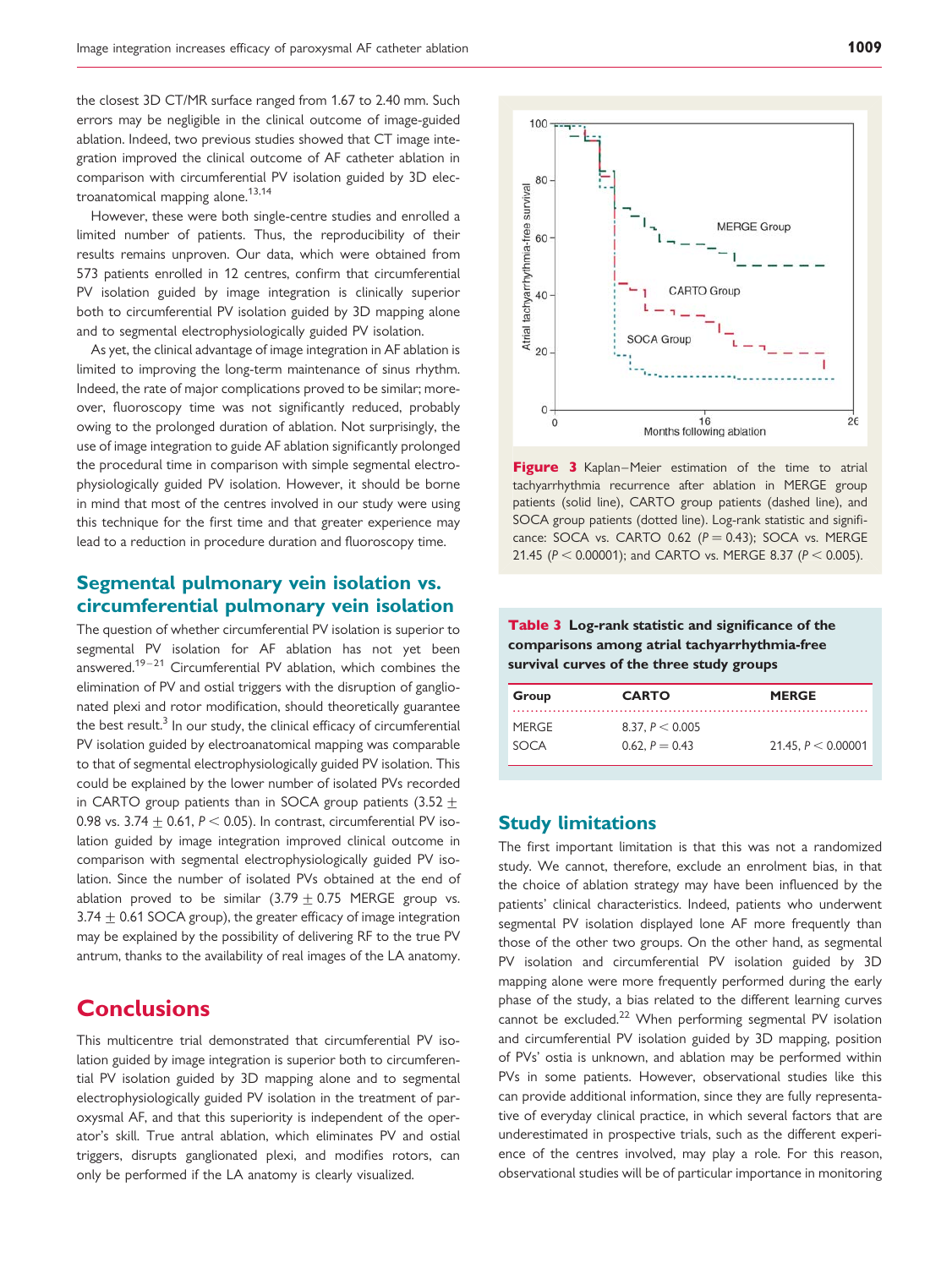the closest 3D CT/MR surface ranged from 1.67 to 2.40 mm. Such errors may be negligible in the clinical outcome of image-guided ablation. Indeed, two previous studies showed that CT image integration improved the clinical outcome of AF catheter ablation in comparison with circumferential PV isolation guided by 3D electroanatomical mapping alone.<sup>13,14</sup>

However, these were both single-centre studies and enrolled a limited number of patients. Thus, the reproducibility of their results remains unproven. Our data, which were obtained from 573 patients enrolled in 12 centres, confirm that circumferential PV isolation guided by image integration is clinically superior both to circumferential PV isolation guided by 3D mapping alone and to segmental electrophysiologically guided PV isolation.

As yet, the clinical advantage of image integration in AF ablation is limited to improving the long-term maintenance of sinus rhythm. Indeed, the rate of major complications proved to be similar; moreover, fluoroscopy time was not significantly reduced, probably owing to the prolonged duration of ablation. Not surprisingly, the use of image integration to guide AF ablation significantly prolonged the procedural time in comparison with simple segmental electrophysiologically guided PV isolation. However, it should be borne in mind that most of the centres involved in our study were using this technique for the first time and that greater experience may lead to a reduction in procedure duration and fluoroscopy time.

# Segmental pulmonary vein isolation vs. circumferential pulmonary vein isolation

The question of whether circumferential PV isolation is superior to segmental PV isolation for AF ablation has not yet been answered.19–21 Circumferential PV ablation, which combines the elimination of PV and ostial triggers with the disruption of ganglionated plexi and rotor modification, should theoretically guarantee the best result.<sup>3</sup> In our study, the clinical efficacy of circumferential PV isolation guided by electroanatomical mapping was comparable to that of segmental electrophysiologically guided PV isolation. This could be explained by the lower number of isolated PVs recorded in CARTO group patients than in SOCA group patients (3.52  $+$ 0.98 vs. 3.74  $\pm$  0.61, P < 0.05). In contrast, circumferential PV isolation guided by image integration improved clinical outcome in comparison with segmental electrophysiologically guided PV isolation. Since the number of isolated PVs obtained at the end of ablation proved to be similar  $(3.79 \pm 0.75$  MERGE group vs. 3.74  $\pm$  0.61 SOCA group), the greater efficacy of image integration may be explained by the possibility of delivering RF to the true PV antrum, thanks to the availability of real images of the LA anatomy.

# **Conclusions**

This multicentre trial demonstrated that circumferential PV isolation guided by image integration is superior both to circumferential PV isolation guided by 3D mapping alone and to segmental electrophysiologically guided PV isolation in the treatment of paroxysmal AF, and that this superiority is independent of the operator's skill. True antral ablation, which eliminates PV and ostial triggers, disrupts ganglionated plexi, and modifies rotors, can only be performed if the LA anatomy is clearly visualized.



Figure 3 Kaplan–Meier estimation of the time to atrial tachyarrhythmia recurrence after ablation in MERGE group patients (solid line), CARTO group patients (dashed line), and SOCA group patients (dotted line). Log-rank statistic and significance: SOCA vs. CARTO 0.62  $(P = 0.43)$ ; SOCA vs. MERGE 21.45 ( $P < 0.00001$ ); and CARTO vs. MERGE 8.37 ( $P < 0.005$ ).

Table 3 Log-rank statistic and significance of the comparisons among atrial tachyarrhythmia-free survival curves of the three study groups

| Group        | <b>CARTO</b>      | <b>MERGE</b>         |
|--------------|-------------------|----------------------|
| <b>MERGE</b> | 8.37, $P < 0.005$ |                      |
| SOCA         | 0.62, $P = 0.43$  | 21.45, $P < 0.00001$ |

## Study limitations

The first important limitation is that this was not a randomized study. We cannot, therefore, exclude an enrolment bias, in that the choice of ablation strategy may have been influenced by the patients' clinical characteristics. Indeed, patients who underwent segmental PV isolation displayed lone AF more frequently than those of the other two groups. On the other hand, as segmental PV isolation and circumferential PV isolation guided by 3D mapping alone were more frequently performed during the early phase of the study, a bias related to the different learning curves cannot be excluded.<sup>22</sup> When performing segmental PV isolation and circumferential PV isolation guided by 3D mapping, position of PVs' ostia is unknown, and ablation may be performed within PVs in some patients. However, observational studies like this can provide additional information, since they are fully representative of everyday clinical practice, in which several factors that are underestimated in prospective trials, such as the different experience of the centres involved, may play a role. For this reason, observational studies will be of particular importance in monitoring